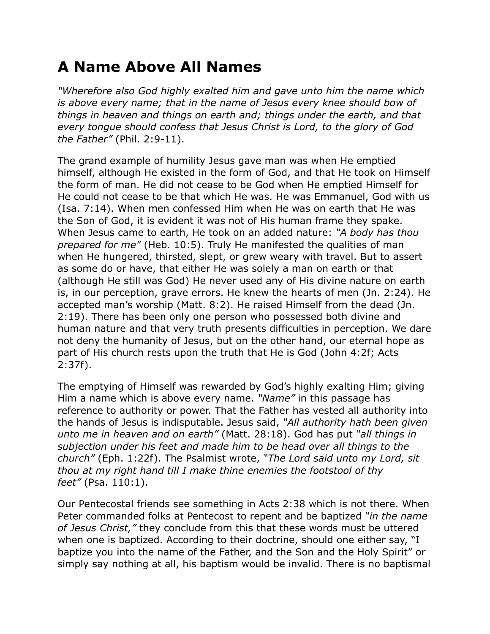## **A Name Above All Names**

*"Wherefore also God highly exalted him and gave unto him the name which is above every name; that in the name of Jesus every knee should bow of things in heaven and things on earth and; things under the earth, and that every tongue should confess that Jesus Christ is Lord, to the glory of God the Father"* (Phil. 2:9-11).

The grand example of humility Jesus gave man was when He emptied himself, although He existed in the form of God, and that He took on Himself the form of man. He did not cease to be God when He emptied Himself for He could not cease to be that which He was. He was Emmanuel, God with us (Isa. 7:14). When men confessed Him when He was on earth that He was the Son of God, it is evident it was not of His human frame they spake. When Jesus came to earth, He took on an added nature: *"A body has thou prepared for me"* (Heb. 10:5). Truly He manifested the qualities of man when He hungered, thirsted, slept, or grew weary with travel. But to assert as some do or have, that either He was solely a man on earth or that (although He still was God) He never used any of His divine nature on earth is, in our perception, grave errors. He knew the hearts of men (Jn. 2:24). He accepted man's worship (Matt. 8:2). He raised Himself from the dead (Jn. 2:19). There has been only one person who possessed both divine and human nature and that very truth presents difficulties in perception. We dare not deny the humanity of Jesus, but on the other hand, our eternal hope as part of His church rests upon the truth that He is God (John 4:2f; Acts 2:37f).

The emptying of Himself was rewarded by God's highly exalting Him; giving Him a name which is above every name. *"Name"* in this passage has reference to authority or power. That the Father has vested all authority into the hands of Jesus is indisputable. Jesus said, *"All authority hath been given unto me in heaven and on earth"* (Matt. 28:18). God has put *"all things in subjection under his feet and made him to be head over all things to the church"* (Eph. 1:22f). The Psalmist wrote, *"The Lord said unto my Lord, sit thou at my right hand till I make thine enemies the footstool of thy feet"* (Psa. 110:1).

Our Pentecostal friends see something in Acts 2:38 which is not there. When Peter commanded folks at Pentecost to repent and be baptized *"in the name of Jesus Christ,"* they conclude from this that these words must be uttered when one is baptized. According to their doctrine, should one either say, "I baptize you into the name of the Father, and the Son and the Holy Spirit" or simply say nothing at all, his baptism would be invalid. There is no baptismal